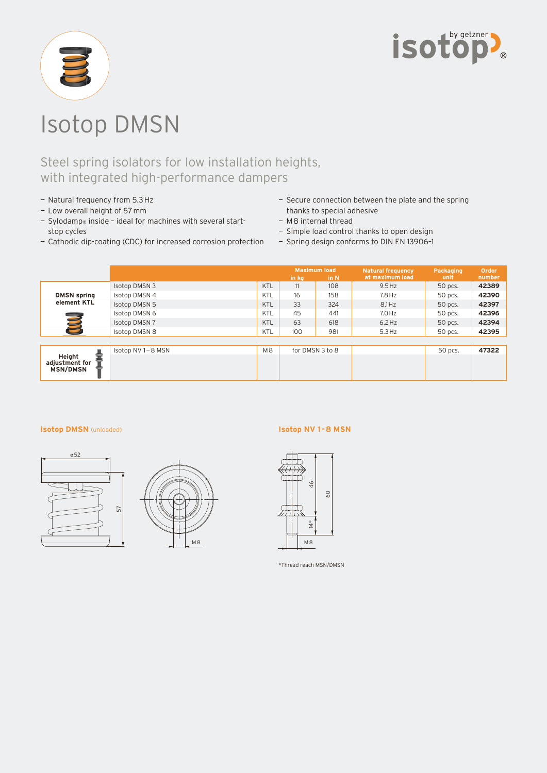



# Isotop DMSN

## Steel spring isolators for low installation heights, with integrated high-performance dampers

- Natural frequency from 5.3 Hz
- Low overall height of 57 mm
- Sylodamp® inside ideal for machines with several startstop cycles
- Cathodic dip-coating (CDC) for increased corrosion protection
- Secure connection between the plate and the spring thanks to special adhesive
- M 8 internal thread
- Simple load control thanks to open design
- Spring design conforms to DIN EN 13906–1

|                                      |                      |                | <b>Maximum load</b><br>in N<br>in kg |     | <b>Natural frequency</b><br>at maximum load | Packaging<br>unit | Order<br>number |
|--------------------------------------|----------------------|----------------|--------------------------------------|-----|---------------------------------------------|-------------------|-----------------|
| <b>DMSN</b> spring<br>element KTL    | <b>Isotop DMSN 3</b> | KTL            | 11                                   | 108 | $9.5$ Hz                                    | 50 pcs.           | 42389           |
|                                      | Isotop DMSN 4        | KTL            | 16                                   | 158 | $7.8$ Hz                                    | 50 pcs.           | 42390           |
|                                      | Isotop DMSN 5        | <b>KTL</b>     | 33                                   | 324 | $8.1$ Hz                                    | 50 pcs.           | 42397           |
|                                      | Isotop DMSN 6        | KTL            | 45                                   | 441 | $7.0$ Hz                                    | 50 pcs.           | 42396           |
|                                      | <b>Isotop DMSN 7</b> | <b>KTL</b>     | 63                                   | 618 | $6.2$ Hz                                    | 50 pcs.           | 42394           |
|                                      | <b>Isotop DMSN 8</b> | KTL            | 100                                  | 981 | $5.3$ Hz                                    | 50 pcs.           | 42395           |
|                                      |                      |                |                                      |     |                                             |                   |                 |
| Height<br>adjustment for<br>MSN/DMSN | Isotop NV 1-8 MSN    | M <sub>8</sub> | for DMSN 3 to 8                      |     |                                             | 50 pcs.           | 47322           |
|                                      |                      |                |                                      |     |                                             |                   |                 |

#### **Isotop DMSN** (unloaded)





### **Isotop NV 1 - 8 MSN**